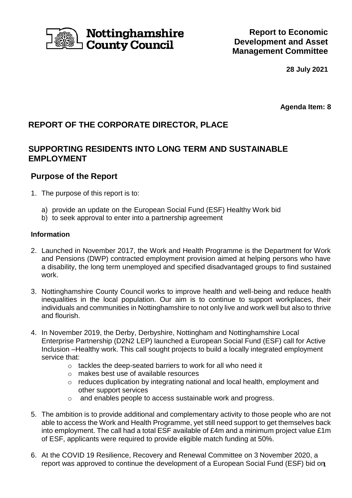

# Nottinghamshire **County Council**

**28 July 2021**

**Agenda Item: 8**

## **REPORT OF THE CORPORATE DIRECTOR, PLACE**

## **SUPPORTING RESIDENTS INTO LONG TERM AND SUSTAINABLE EMPLOYMENT**

### **Purpose of the Report**

- 1. The purpose of this report is to:
	- a) provide an update on the European Social Fund (ESF) Healthy Work bid
	- b) to seek approval to enter into a partnership agreement

#### **Information**

- 2. Launched in November 2017, the Work and Health Programme is the Department for Work and Pensions (DWP) contracted employment provision aimed at helping persons who have a disability, the long term unemployed and specified disadvantaged groups to find sustained work.
- 3. Nottinghamshire County Council works to improve health and well-being and reduce health inequalities in the local population. Our aim is to continue to support workplaces, their individuals and communities in Nottinghamshire to not only live and work well but also to thrive and flourish.
- 4. In November 2019, the Derby, Derbyshire, Nottingham and Nottinghamshire Local Enterprise Partnership (D2N2 LEP) launched a European Social Fund (ESF) call for Active Inclusion –Healthy work. This call sought projects to build a locally integrated employment service that:
	- o tackles the deep-seated barriers to work for all who need it
	- o makes best use of available resources
	- o reduces duplication by integrating national and local health, employment and other support services
	- o and enables people to access sustainable work and progress.
- 5. The ambition is to provide additional and complementary activity to those people who are not able to access the Work and Health Programme, yet still need support to get themselves back into employment. The call had a total ESF available of £4m and a minimum project value £1m of ESF, applicants were required to provide eligible match funding at 50%.
- report was approved to continue the development of a European Social Fund (ESF) bid on 6. At the COVID 19 Resilience, Recovery and Renewal Committee on 3 November 2020, a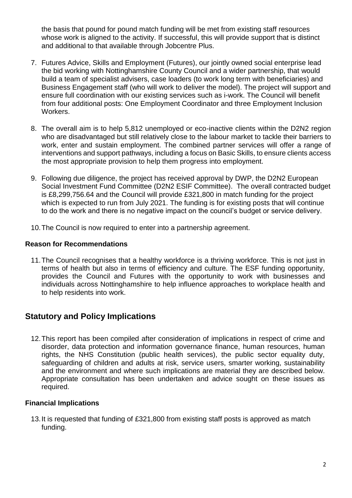the basis that pound for pound match funding will be met from existing staff resources whose work is aligned to the activity. If successful, this will provide support that is distinct and additional to that available through Jobcentre Plus.

- 7. Futures Advice, Skills and Employment (Futures), our jointly owned social enterprise lead the bid working with Nottinghamshire County Council and a wider partnership, that would build a team of specialist advisers, case loaders (to work long term with beneficiaries) and Business Engagement staff (who will work to deliver the model). The project will support and ensure full coordination with our existing services such as i-work. The Council will benefit from four additional posts: One Employment Coordinator and three Employment Inclusion Workers.
- 8. The overall aim is to help 5,812 unemployed or eco-inactive clients within the D2N2 region who are disadvantaged but still relatively close to the labour market to tackle their barriers to work, enter and sustain employment. The combined partner services will offer a range of interventions and support pathways, including a focus on Basic Skills, to ensure clients access the most appropriate provision to help them progress into employment.
- 9. Following due diligence, the project has received approval by DWP, the D2N2 European Social Investment Fund Committee (D2N2 ESIF Committee). The overall contracted budget is £8,299,756.64 and the Council will provide £321,800 in match funding for the project which is expected to run from July 2021. The funding is for existing posts that will continue to do the work and there is no negative impact on the council's budget or service delivery.
- 10.The Council is now required to enter into a partnership agreement.

#### **Reason for Recommendations**

11.The Council recognises that a healthy workforce is a thriving workforce. This is not just in terms of health but also in terms of efficiency and culture. The ESF funding opportunity, provides the Council and Futures with the opportunity to work with businesses and individuals across Nottinghamshire to help influence approaches to workplace health and to help residents into work.

## **Statutory and Policy Implications**

12.This report has been compiled after consideration of implications in respect of crime and disorder, data protection and information governance finance, human resources, human rights, the NHS Constitution (public health services), the public sector equality duty, safeguarding of children and adults at risk, service users, smarter working, sustainability and the environment and where such implications are material they are described below. Appropriate consultation has been undertaken and advice sought on these issues as required.

#### **Financial Implications**

13.It is requested that funding of £321,800 from existing staff posts is approved as match funding.